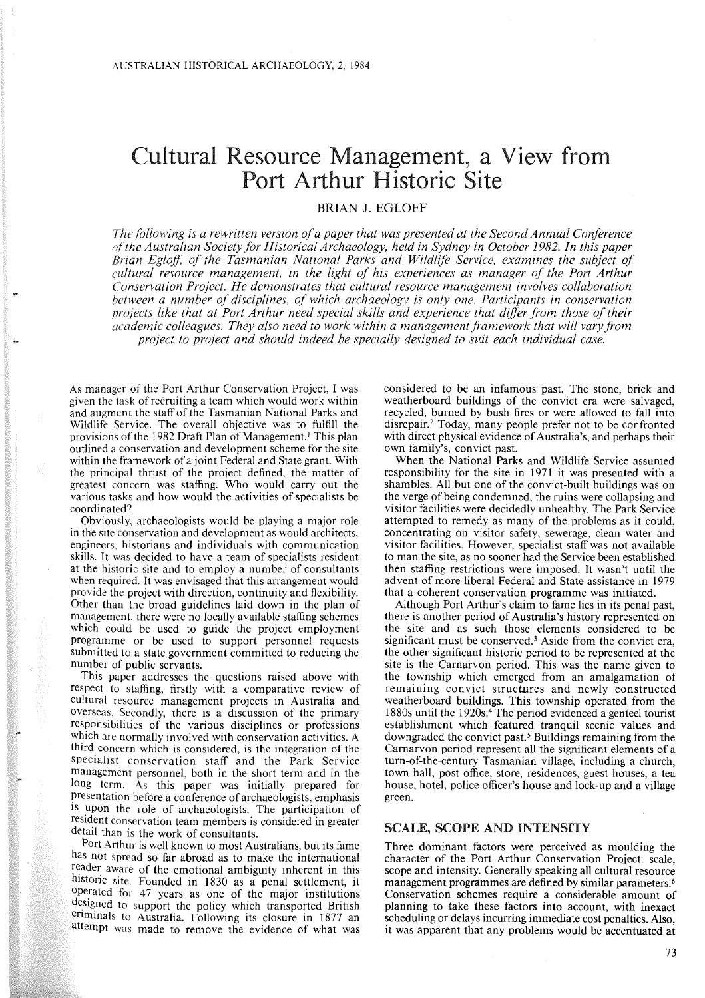# Cultural Resource Management, a View from Port Arthur Historic Site

BRIAN J. EGLOFF

*The following is a rewritten version ofa paper that was presented at the Second Annual Conference ofthe Australian Society for Historical Archaeology, held in Sydney in October* 1982. *In this paper Brian Egloff, of the Tasmanian National Parks and Wildlife Service, examines the subject of cultural resource management, in the light of his experiences as manager of the Port Arthur Conservation Project. He demonstrates that cultural resource management involves collaboration between a number of disciplines, of which archaeology is only one. Participants in conservation projects like that at Port Arthur need special skills and experience that differ from those oftheir academic colleagues. They also need to work within a management framework that will vary from project to project and should indeed be specially designed to suit each individual case.*

As manager of the Port Arthur Conservation Project, I was given the task of recruiting a team which would work within and augment the staff of the Tasmanian National Parks and Wildlife Service. The overall objective was to fulfill the provisions of the 1982 Draft Plan of Management.<sup>1</sup> This plan outlined a conservation and development scheme for the site within the framework of a joint Federal and State grant. With the principal thrust of the project defined, the matter of greatest concern was staffing. Who would carry out the various tasks and how would the activities of specialists be coordinated?

Obviously, archaeologists would be playing a major role in the site conservation and development as would architects, engineers, historians and individuals with communication skills. It was decided to have a team of specialists resident at the historic site and to employ a number of consultants when required. It was envisaged that this arrangement would provide the project with direction, continuity and flexibility. Other than the broad guidelines laid down in the plan of management, there were no locally available staffing schemes which could be used to guide the project employment programme or be used to support personnel requests submitted to a state government committed to reducing the number of public servants.

This paper addresses the questions raised above with respect to staffing, firstly with a comparative review of cultural resource management projects in Australia and overseas. Secondly, there is a discussion of the primary responsibilities of the various disciplines or professions which are normally involved with conservation activities. A third concern which is considered, is the integration of the specialist conservation staff and the Park Service management personnel, both in the short term and in the long term. As this paper was initially prepared for presentation before a conference of archaeologists, emphasis is upon the role of archaeologists. The participation of resident conservation team members is considered in greater detail than is the work of consultants.

Port Arthur is well known to most Australians, but its fame has not spread so far abroad as to make the international reader aware of the emotional ambiguity inherent in this historic site. Founded in 1830 as a penal settlement, it for 47 years as one of the major institutions designed to support the policy which transported British criminals to Australia. Following its closure in 1877 an attempt was made to remove the evidence of what was considered to be an infamous past. The stone, brick and weatherboard buildings of the convict era were salvaged, recycled, burned by bush fires or were allowed to fall into disrepair.' Today, many people prefer not to be confronted with direct physical evidence of Australia's, and perhaps their own family's, convict past.

When the National Parks and Wildlife Service assumed responsibility for the site in 1971 it was presented with a shambles. All but one of the convict-built buildings was on the verge of being condemned, the ruins were collapsing and visitor facilities were decidedly unhealthy. The Park Service attempted to remedy as many of the problems as it could, concentrating on visitor safety, sewerage, clean water and visitor facilities. However, specialist staff was not available to man the site, as no sooner had the Service been established then staffing restrictions were imposed. It wasn't until the advent of more liberal Federal and State assistance in 1979 that a coherent conservation programme was initiated.

Although Port Arthur's claim to fame lies in its penal past, there is another period of Australia's history represented on the site and as such those elements considered to be significant must be conserved.<sup>3</sup> Aside from the convict era, the other significant historic period to be represented at the site is the Carnarvon period. This was the name given to the township which emerged from an amalgamation of remaining convict structures and newly constructed weatherboard buildings. This township operated from the l880s until the 1920s.4 The period evidenced a genteel tourist establishment which featured tranquil scenic values and downgraded the convict past.<sup>5</sup> Buildings remaining from the Carnarvon period represent all the significant elements of a turn-of-the-century Tasmanian village, including a church, town hall, post office, store, residences, guest houses, a tea house, hotel, police officer's house and lock-up and a village green.

#### SCALE, SCOPE AND INTENSITY

Three dominant factors were perceived as moulding the character of the Port Arthur Conservation Project: scale, scope and intensity. Generally speaking all cultural resource management programmes are defined by similar parameters.<sup>6</sup> Conservation schemes require a considerable amount of planning to take these factors into account, with inexact scheduling or delays incurring immediate cost penalties. Also, it was apparent that any problems would be accentuated at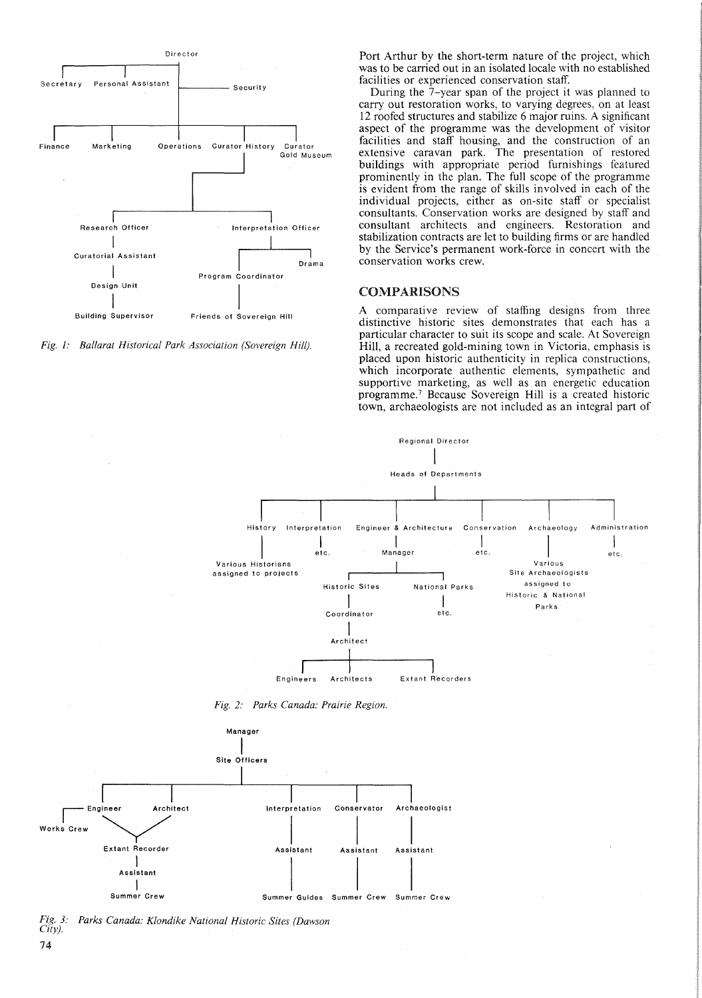

*Fig.* 1: *Ballarat Historical Park Association (Sovereign Hill).*

Port Arthur by the short-term nature of the project, which was to be carried out in an isolated locale with no established facilities or experienced conservation staff.

During the 7-year span of the project it was planned to carry out restoration works, to varying degrees, on at least 12 roofed structures and stabilize 6 major ruins. A significant aspect of the programme was the development of visitor facilities and staff housing, and the construction of an extensive caravan park. The presentation of restored buildings with appropriate period furnishings featured prominently in the plan. The full scope of the programme is evident from the range of skills involved in each of the individual projects, either as on-site staff or specialist consultants. Conservation works are designed by staff and consultant architects and engineers. Restoration and stabilization contracts are let to building firms or are handled by the Service's permanent work-force in concert with the conservation works crew.

#### COMPARISONS

A comparative review of staffing designs from three distinctive historic sites demonstrates that each has a particular character to suit its scope and scale. At Sovereign Hill, a recreated gold-mining town in Victoria, emphasis is placed upon historic authenticity in replica constructions, which incorporate authentic elements, sympathetic and supportive marketing, as well as an energetic education programme." Because Sovereign Hill is a created historic town, archaeologists are not included as an integral part of



*Fig.* 2: *Parks Canada: Prairie Region.*



*Fig.* 3.' *Parks Canada: Klondike National Historic Sites (Dawson City).*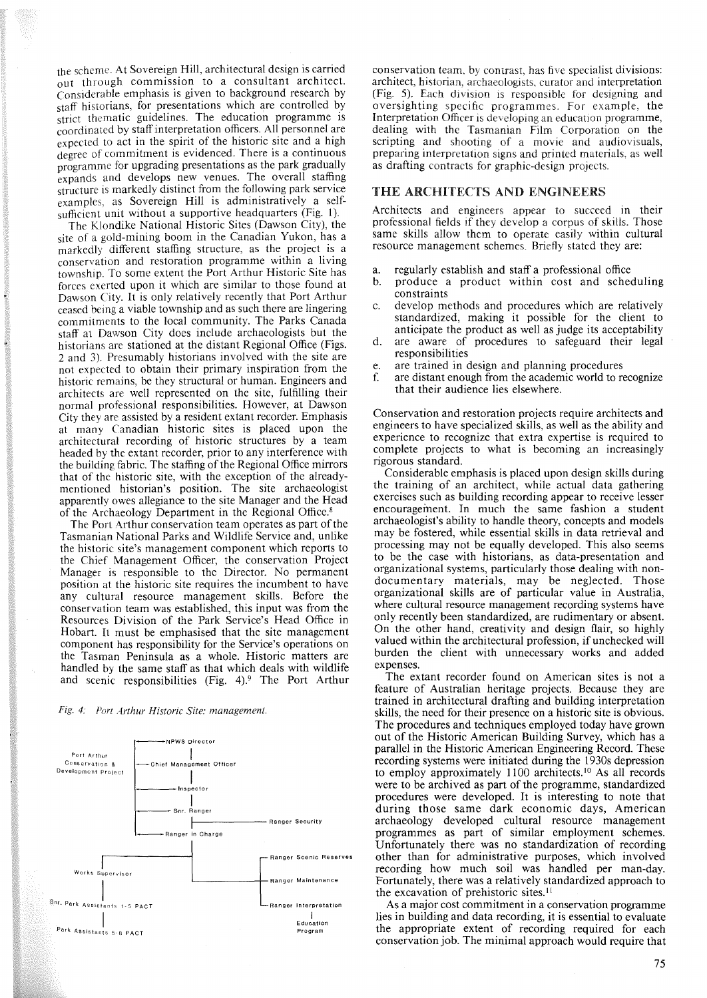the scheme. At Sovereign Hill, architectural design is carried out through commission to a consultant architect. Considerable emphasis is given to background research by staff historians, for presentations which are controlled by strict thematic guidelines. The education programme is coordinated by staffinterpretation officers. All personnel are expected to act in the spirit of the historic site and a high degree of commitment is evidenced. There is a continuous programme for upgrading presentations as the park gradually expands and develops new venues. The overall staffing structure is markedly distinct from the following park service examples, as Sovereign Hill is administratively a selfsufficient unit without a supportive headquarters (Fig. I).

The Klondike National Historic Sites (Dawson City), the site of a gold-mining boom in the Canadian Yukon, has a markedly different staffing structure, as the project is a conservation and restoration programme within a living township. To some extent the Port Arthur Historic Site has forces exerted upon it which are similar to those found at Dawson City. It is only relatively recently that Port Arthur ceased being a viable township and as such there are lingering commitments to the local community. The Parks Canada staff at Dawson City does include archaeologists but the historians are stationed at the distant Regional Office (Figs. 2 and 3). Presumably historians involved with the site are not expected to obtain their primary inspiration from the historic remains, be they structural or human. Engineers and architects are well represented on the site, fulfilling their normal professional responsibilities. However, at Dawson City they are assisted by a resident extant recorder. Emphasis at many Canadian historic sites is placed upon the architectural recording of historic structures by a team headed by the extant recorder, prior to any interference with the building fabric. The staffing of the Regional Office mirrors that of the historic site, with the exception of the alreadymentioned historian's position. The site archaeologist apparently owes allegiance to the site Manager and the Head of the Archaeology Department in the Regional Office.<sup>8</sup>

The Port Arthur conservation team operates as part of the Tasmanian National Parks and Wildlife Service and, unlike the historic site's management component which reports to the Chief Management Officer, the conservation Project Manager is responsible to the Director. No permanent position at the historic site requires the incumbent to have any cultural resource management skills. Before the conservation team was established, this input was from the Resources Division of the Park Service's Head Office in Hobart. It must be emphasised that the site management component has responsibility for the Service's operations on the Tasman Peninsula as a whole. Historic matters are handled by the same staff as that which deals with wildlife and scenic responsibilities (Fig. 4).9 The Port Arthur

*Fig.* 4: *Port Arthur Historic Site: management.*



conservation team, by contrast, has five specialist divisions: architect, historian, archaeologists, curator and interpretation (Fig. 5). Each division is responsible for designing and oversighting specific programmes. For example, the Interpretation Officer is developing an education programme, dealmg with the Tasmanian Film Corporation on the scripting and shooting of a movie and audiovisuals preparing interpretation signs and printed materials. as well as drafting contracts for graphic-design projects. .

#### THE ARCHITECTS AND ENGINEERS

Architects and engineers appear to succeed in their professional fields if they develop a corpus of skills. Those same skills allow them to operate easily within cultural resource management schemes. Briefly stated they are:

- a. regularly establish and staff a professional office
- b. produce a product within cost and scheduling constraints
- c. develop methods and procedures which are relatively standardized, making it possible for the client to anticipate the product as well as judge its acceptability
- d. are aware of procedures to safeguard their legal responsibilities
- e. are trained in design and planning procedures<br>f. are distant enough from the academic world to re
- are distant enough from the academic world to recognize that their audience lies elsewhere.

Conservation and restoration projects require architects and engineers to have specialized skills, as well as the ability and experience to recognize that extra expertise is required to complete projects to what is becoming an increasingly rigorous standard.

Considerable emphasis is placed upon design skills during the training of an architect, while actual data gathering exercises such as building recording appear to receive lesser encouragement. In much the same fashion a student archaeologist's ability to handle theory, concepts and models may be fostered, while essential skills in data retrieval and processing may not be equally developed. This also seems to be the case with historians, as data-presentation and organizational systems, particularly those dealing with nondocumentary materials, may be neglected. Those organizational skills are of particular value in Australia, where cultural resource management recording systems have only recently been standardized, are rudimentary or absent. On the other hand, creativity and design flair, so highly valued within the architectural profession, if unchecked will burden the client with unnecessary works and added expenses.

The extant recorder found on American sites is not a feature of Australian heritage projects. Because they are trained in architectural drafting and building interpretation skills, the need for their presence on a historic site is obvious. The procedures and techniques employed today have grown out of the Historic American Building Survey, which has a parallel in the Historic American Engineering Record. These recording systems were initiated during the 1930s depression to employ approximately 1100 architects.<sup>10</sup> As all records were to be archived as part of the programme, standardized procedures were developed. It is interesting to note that during those same dark economic days, American archaeology developed cultural resource management programmes as part of similar employment schemes. Unfortunately there was no standardization of recording other than for administrative purposes, which involved recording how much soil was handled per man-day. Fortunately, there was a relatively standardized approach to the excavation of prehistoric sites.<sup>11</sup>

As a major cost commitment in a conservation programme lies in building and data recording, it is essential to evaluate the appropriate extent of recording required for each conservation job. The minimal approach would require that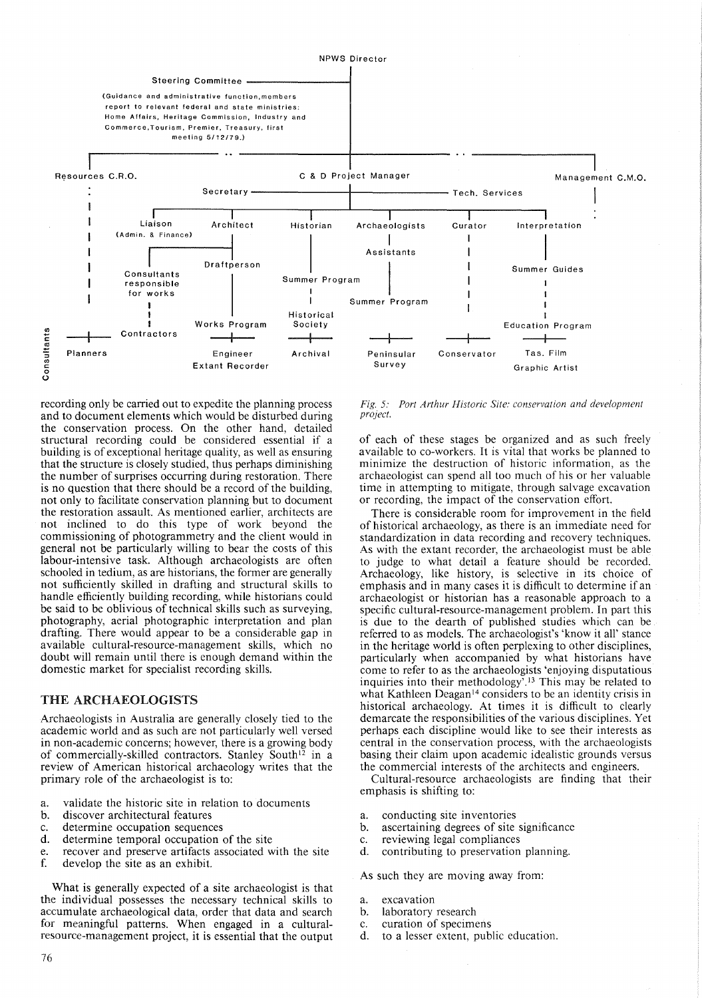

recording only be carried out to expedite the planning process and to document elements which would be disturbed during the conservation process. On the other hand, detailed structural recording could be considered essential if a building is of exceptional heritage quality, as well as ensuring that the structure is closely studied, thus perhaps diminishing the number of surprises occurring during restoration. There is no question that there should be a record of the building, not only to facilitate conservation planning but to document the restoration assault. As mentioned earlier, architects are not inclined to do this type of work beyond the commissioning of photogrammetry and the client would in general not be particularly willing to bear the costs of this labour-intensive task. Although archaeologists are often schooled in tedium, as are historians, the former are generally not sufficiently skilled in drafting and structural skills to handle efficiently building recording, while historians could be said to be oblivious of technical skills such as surveying, photography, aerial photographic interpretation and plan drafting. There would appear to be a considerable gap in available cultural-resource-management skills, which no doubt will remain until there is enough demand within the domestic market for specialist recording skills.

## THE ARCHAEOLOGISTS

Archaeologists in Australia are generally closely tied to the academic world and as such are not particularly well versed in non-academic concerns; however, there is a growing body of commercially-skilled contractors. Stanley South<sup>12</sup> in a review of American historical archaeology writes that the primary role of the archaeologist is to:

- a. validate the historic site in relation to documents
- b. discover architectural features
- 
- c. determine occupation sequences<br>d. determine temporal occupation determine temporal occupation of the site
- e. recover and preserve artifacts associated with the site f. develop the site as an exhibit.
- develop the site as an exhibit.

What is generally expected of a site archaeologist is that the individual possesses the necessary technical skills to accumulate archaeological data, order that data and search for meaningful patterns. When engaged in a culturalresource-management project, it is essential that the output

*Fig.* 5: *Port Arthur Historic Site: conservation and development project.*

of each of these stages be organized and as such freely available to co-workers. It is vital that works be planned to minimize the destruction of historic information, as the archaeologist can spend all too much of his or her valuable time in attempting to mitigate, through salvage excavation or recording, the impact of the conservation effort.

There is considerable room for improvement in the field of historical archaeology, as there is an immediate need for standardization in data recording and recovery techniques. As with the extant recorder, the archaeologist must be able to judge to what detail a feature should be recorded. Archaeology, like history, is selective in its choice of emphasis and in many cases it is difficult to determine if an archaeologist or historian has a reasonable approach to a specific cultural-resource-management problem. In part this is due to the dearth of published studies which can be referred to as models. The archaeologist's 'know it all' stance in the heritage world is often perplexing to other disciplines, particularly when accompanied by what historians have come to refer to as the archaeologists 'enjoying disputatious inquiries into their methodology<sup> $13$ </sup> This may be related to what Kathleen Deagan<sup>14</sup> considers to be an identity crisis in historical archaeology. At times it is difficult to clearly demarcate the responsibilities of the various disciplines. Yet perhaps each discipline would like to see their interests as central in the conservation process, with the archaeologists basing their claim upon academic idealistic grounds versus the commercial interests of the architects and engineers.

Cultural-resource archaeologists are finding that their emphasis is shifting to:

- a. conducting site inventories<br>b. ascertaining degrees of site
- ascertaining degrees of site significance
- c. reviewing legal compliances
- d. contributing to preservation planning.

As such they are moving away from:

- a. excavation
- b. laboratory research
- c. curation of specimens<br>d. to a lesser extent, pub
- to a lesser extent, public education.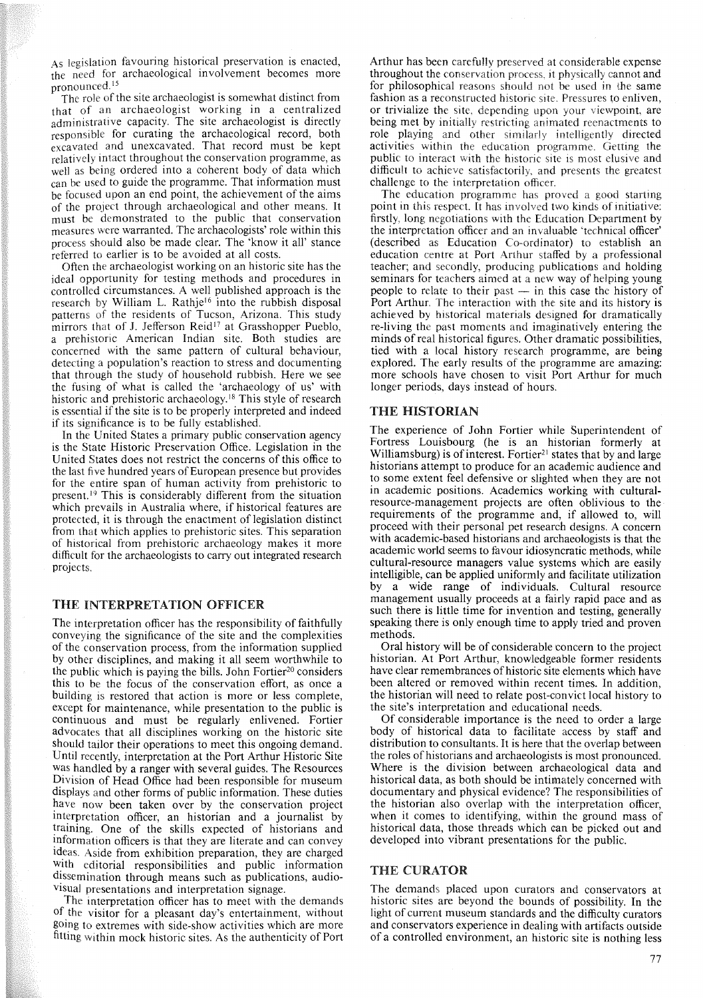As legislation favouring historical preservation is enacted, the need for archaeological involvement becomes more pronounced.<sup>15</sup>

The role of the site archaeologist is somewhat distinct from that of an archaeologist working in a centralized administrative capacity. The site archaeologist is directly responsible for curating the archaeological record, both excavated and unexcavated. That record must be kept relatively intact throughout the conservation programme, as well as being ordered into a coherent body of data which can be used to guide the programme. That information must be focused upon an end point, the achievement of the aims of the project through archaeological and other means. It must be demonstrated to the public that conservation measures were warranted. The archaeologists' role within this process should also be made clear. The 'know it all' stance referred to earlier is to be avoided at all costs.

Often the archaeologist working on an historic site has the ideal opportunity for testing methods and procedures in controlled circumstances. A well published approach is the research by William L. Rathje<sup>16</sup> into the rubbish disposal patterns of the residents of Tucson, Arizona. This study mirrors that of J. Jefferson Reid!' at Grasshopper Pueblo, a prehistoric American Indian site. Both studies are concerned with the same pattern of cultural behaviour, detecting a population's reaction to stress and documenting that through the study of household rubbish. Here we see the fusing of what is called the 'archaeology of us' with historic and prehistoric archaeology.<sup>18</sup> This style of research is essential if the site is to be properly interpreted and indeed if its significance is to be fully established.

**In** the United States a primary public conservation agency is the State Historic Preservation Office. Legislation in the United States does not restrict the concerns of this office to the last five hundred years of European presence but provides for the entire span of human activity from prehistoric to present.<sup>19</sup> This is considerably different from the situation which prevails in Australia where, if historical features are protected, it is through the enactment of legislation distinct from that which applies to prehistoric sites. This separation of historical from prehistoric archaeology makes it more difficult for the archaeologists to carry out integrated research projects.

## **THE** INTERPRETATION OFFICER

The interpretation officer has the responsibility of faithfully conveying the significance of the site and the complexities of the conservation process, from the information supplied by other disciplines, and making it all seem worthwhile to the public which is paying the bills. John Fortier $20$  considers this to be the focus of the conservation effort, as once a building is restored that action is more or less complete, except for maintenance, while presentation to the public is continuous and must be regularly enlivened. Fortier advocates that all disciplines working on the historic site should tailor their operations to meet this ongoing demand. Until recently, interpretation at the Port Arthur Historic Site was handled by a ranger with several guides. The Resources Division of Head Office had been responsible for museum displays and other forms of public information. These duties have now been taken over by the conservation project interpretation officer, an historian and a journalist by training. One of the skills expected of historians and information officers is that they are literate and can convey ideas. Aside from exhibition preparation, they are charged with editorial responsibilities and public information dissemination through means such as publications, audiovisual presentations and interpretation signage.

The interpretation officer has to meet with the demands of the visitor for a pleasant day's entertainment, without going to extremes with side-show activities which are more fitting within mock historic sites. As the authenticity of Port Arthur has been carefully preserved at considerable expense throughout the conservation process, it physically cannot and for philosophical reasons should not be used in the same fashion as a reconstructed historic site. Pressures to enliven, or trivialize the site. depending upon your viewpoint, are being met by initially restricting animated reenactments to role playing and other similarly intelligently directed activities within the education programme. Getting the public to interact with the historic site is most elusive and difficult to achieve satisfactorily. and presents the greatest challenge to the interpretation officer.

The education programme has proved a good starting point in this respect. It has involved two kinds of initiative: firstly, long negotiations with the Education Department by the interpretation officer and an invaluable 'technical officer' (described as Education Co-ordinator) to establish an education centre at Port Arthur staffed by a professional teacher; and secondly, producing publications and holding seminars for teachers aimed at a new way of helping young people to relate to their past  $-$  in this case the history of Port Arthur. The interaction with the site and its history is achieved by historical materials designed for dramatically re-living the past moments and imaginatively entering the minds of real historical figures. Other dramatic possibilities, tied with a local history research programme, are being explored. The early results of the programme are amazing: more schools have chosen to visit Port Arthur for much longer periods, days instead of hours.

## **THE** HISTORIAN

The experience of John Fortier while Superintendent of Fortress Louisbourg (he is an historian formerly at Williamsburg) is of interest. Fortier<sup>21</sup> states that by and large historians attempt to produce for an academic audience and to some extent feel defensive or slighted when they are not in academic positions. Academics working with culturalresource-management projects are often oblivious to the requirements of the programme and, if allowed to, will proceed with their personal pet research designs. A concern with academic-based historians and archaeologists is that the academic world seems to favour idiosyncratic methods, while cultural-resource managers value systems which are easily intelligible, can be applied uniformly arid facilitate utilization by a wide range of individuals. Cultural resource management usually proceeds at a fairly rapid pace and as such there is little time for invention and testing, generally speaking there is only enough time to apply tried and proven methods.

Oral history will be of considerable concern to the project historian. At Port Arthur, knowledgeable former residents have clear remembrances of historic site elements which have been altered or removed within recent times. **In** addition, the historian will need to relate post-convict local history to the site's interpretation and educational needs.

Of considerable importance is the need to order a large body of historical data to facilitate access by staff and distribution to consultants. It is here that the overlap between the roles of historians and archaeologists is most pronounced. Where is the division between archaeological data and historical data, as both should be intimately concerned with documentary and physical evidence? The responsibilities of the historian also overlap with the interpretation officer, when it comes to identifying, within the ground mass of historical data, those threads which can be picked out and developed into vibrant presentations for the public.

## THE CURATOR

The demands placed upon curators and conservators at historic sites are beyond the bounds of possibility. **In** the light of current museum standards and the difficulty curators and conservators experience in dealing with artifacts outside of a controlled environment, an historic site is nothing less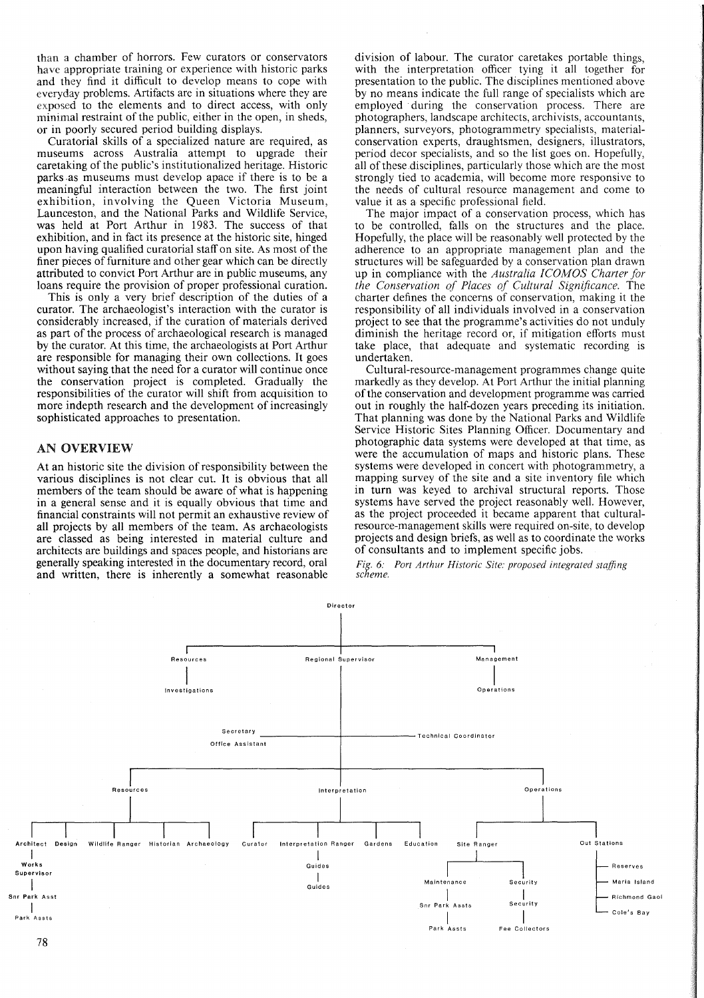than a chamber of horrors. Few curators or conservators have appropriate training or experience with historic parks and they find it difficult to develop means to cope with everyday problems. Artifacts are in situations where they are exposed to the elements and to direct access, with only minimal restraint of the public, either in the open, in sheds, or in poorly secured period building displays.

Curatorial skills of a specialized nature are required, as museums across Australia attempt to upgrade their caretaking of the public's institutionalized heritage. Historic parks .as museums must develop apace if there is to be a meaningful interaction between the two. The first joint exhibition, involving the Queen Victoria Museum, Launceston, and the National Parks and Wildlife Service, was held at Port Arthur in 1983. The success of that exhibition, and in fact its presence at the historic site, hinged upon having qualified curatorial staff on site. As most of the finer pieces of furniture and other gear which can be directly attributed to convict Port Arthur are in public museums, any loans require the provision of proper professional curation.

This is only a very brief description of the duties of a curator. The archaeologist's interaction with the curator is considerably increased, if the curation of materials derived as part of the process of archaeological research is managed by the curator. At this time, the archaeologists at Port Arthur are responsible for managing their own collections. It goes without saying that the need for a curator will continue once the conservation project is completed. Gradually the responsibilities of the curator will shift from acquisition to more indepth research and the development of increasingly sophisticated approaches to presentation.

## AN OVERVIEW

At an historic site the division of responsibility between the various disciplines is not clear cut. It is obvious that all members of the team should be aware of what is happening in a general sense and it is equally obvious that time and financial constraints will not permit an exhaustive review of all projects by all members of the team. As archaeologists are classed as being interested in material culture and architects are buildings and spaces people, and historians are generally speaking interested in the documentary record, oral and written, there is inherently a somewhat reasonable division of labour. The curator caretakes portable things, with the interpretation officer tying it all together for presentation to the public. The disciplines mentioned above by no means indicate the full range of specialists which are employed during the conservation process. There are photographers, landscape architects, archivists, accountants, planners, surveyors, photogrammetry specialists, materialconservation experts, draughtsmen, designers, illustrators, period decor specialists, and so the list goes on. Hopefully, all of these disciplines, particularly those which are the most strongly tied to academia, will become more responsive to the needs of cultural resource management and come to value it as a specific professional field.

The major impact of a conservation process, which has to be controlled, falls on the structures and the place. Hopefully, the place will be reasonably well protected by the adherence to an appropriate management plan and the structures will be safeguarded by a conservation plan drawn up in compliance with the *Australia [COMaS Charter for the Conservation of Places of Cultural Significance.* The charter defines the concerns of conservation, making it the responsibility of all individuals involved in a conservation project to see that the programme's activities do not unduly diminish the heritage record or, if mitigation efforts must take place, that adequate and systematic recording is undertaken.

Cultural-resource-management programmes change quite markedly as they develop. At Port Arthur the initial planning of the conservation and development programme was carried out in roughly the half-dozen years preceding its initiation. That planning was done by the National Parks and Wildlife Service Historic Sites Planning Officer. Documentary and photographic data systems were developed at that time, as were the accumulation of maps and historic plans. These systems were developed in concert with photogrammetry, a mapping survey of the site and a site inventory file which in turn was keyed to archival structural reports. Those systems have served the project reasonably well. However, as the project proceeded it became apparent that culturalresource-management skills were required on-site, to develop projects and design briefs, as well as to coordinate the works of consultants and to implement specific jobs.

*Fig.* 6: *Port Arthur Historic Site: proposed integrated staffing scheme.*